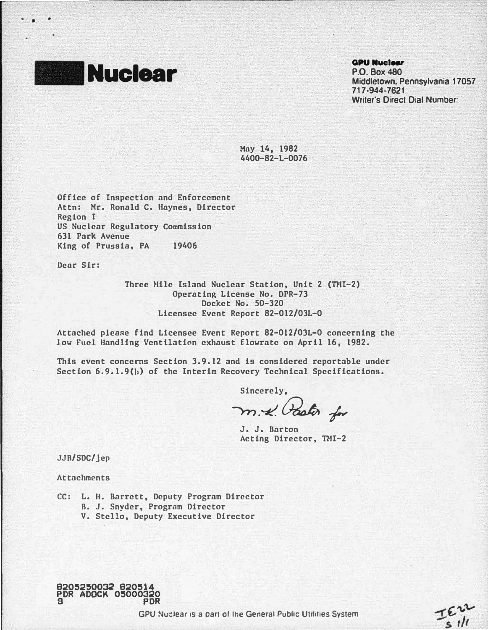

• •

#### **GPU Nuciear**

P.O. Box480 Middletown, Pennsylvania 17057 717-944-7621 Writer's Direct Dial Number.

TEN

May 14, 1982 440D-82-L-0076

Office of Inspection and Enforcement Attn: Mr. Ronald C. Haynes, Director Region I US Nuclear Regulatory Commission 631 Park Avenue King of Prussia, PA 19406

Dear Sir:

Three Hile Island Nuclear Station, Unit 2 (TMI-2) Operating License No. DPR-73 Docket No. 50-320 Licensee Event Report 82-012/0JL-0

Attached please find Licensee Event Report 82-012/03L-0 concerning the low Fuel Handling Ventilation exhaust flowrate on April 16, 1982.

This event concerns Section 3.9.12 and is considered reportable under Section 6.9.1.9(b) of the Interim Recovery Technical Specifications.

Sincerely,

m.-x. Pastor for

J. J. Barton Acting Director, THI-2

JJB/SDC/jep

Attachments

- CC: L. II. Barrett, Deputy Program Director B. J. Snyder, Program Director
	- V. Stello, Deputy Executive Director

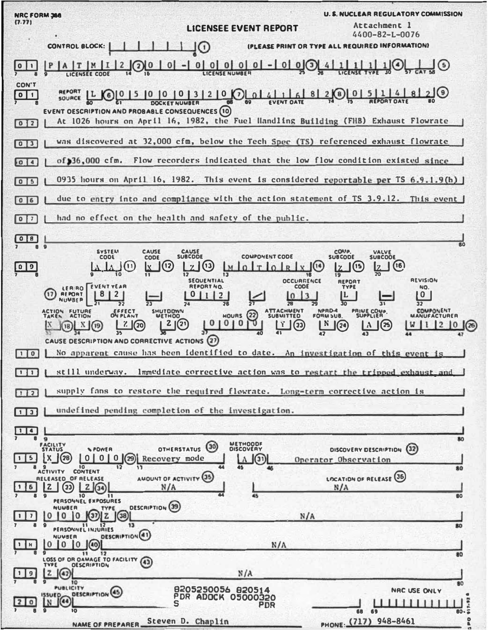**U.S. NUCLEAR REGULATORY COMMISSION** NRC FORM 366  $(7.77)$ Attachment 1 **LICENSEE EVENT REPORT**  $4400 - 82 - L - 0076$ (PLEASE PRINT OR TYPE ALL REQUIRED INFORMATION) CONTROL BLOCK:  $\bigcap$  $0 | 0 | 0 | 0 | 0 | - 0 | 0 | 0 |$  $1(4)$  $P$  A  $T$   $M$   $I$   $2$   $Q$   $0$  $\overline{0}$  $1<sup>1</sup>$  $(5)$  $\blacksquare$  $|0|1|$ **LICENSE TYPE** ᇾ LICENSEE CODE  $\overline{14}$ **CON'T REPORT**  $2(9)$  $L$   $O_{015}$  $|0|0|0|3|2|0|0|0|4|1|6|$  $8|2(8)|0|$  $511$  $\frac{1}{4}$  $\sqrt{11}$ SOURCE **EVENT OATE AEPORT OATE** DOCKET NUMBER EVENT OESCRIPTION AND PROBABLE CONSEQUENCES (10) At 1026 hours on April 16, 1982, the Fuel Handling Building (FHB) Exhaust Flowrate  $012$ was discovered at 32,000 cfm, below the Tech Spec (TS) referenced exhaust flowrate  $\sqrt{0}$ of 36,000 cfm. Flow recorders indicated that the low flow condition existed since  $\sqrt{a}$ 0935 hours on April 16, 1982. This event is considered reportable per TS 6.9.1.9(b)  $\sqrt{0}$   $\sqrt{5}$ due to entry into and compliance with the action statement of TS 3.9.12.  $\sqrt{0}$ This event  $\sqrt{2}$ had no effect on the health and safety of the public.  $\boxed{0}$   $\boxed{0}$ l. **SYSTEM** CAUSE CAUSE<br>SUBCODE **COMP.** VALVE<br>SUBCOOE **COMPONENT CODE** CODE **SUBCODE**  $\left(11\right)$  $\sqrt{12}$  $2(0)$  $(14)$  $(i6)$  $\sqrt{0}$ LM  $\frac{1}{1}$ (15  $\mathbf{z}$ l٧ ū SEQUENTIAL **REVISION** OCCURRENCE **REPORT FVENT YEAR REPORT NO** CODE NO. LERRO<br>REPORT 67  $8<sup>1</sup>$  $21$  $0|1|2$ 10  $|3$  $|0|$ **NUMBER** ₩ COMPONENT<br>MANUFACTURER SHUTDOWN NPRD-4 **PRIME COMP** ACTION<br>TAKEN **FUTURE** EFFECT **ATTACHMENT**  $\left( 2 \right)$ **ON PLANT** MOURS **SUBMITTED** უ  $\lfloor \tfrac{1}{2} \rfloor$  $N(\widehat{29})$  $\frac{7}{20}$  $2(2)$  $\bf{0}$  $1010$  $(B)$   $N$   $(19)$  $W[1]2]0$  $\lambda$   $(25$  $(26)$ 35 CAUSE DESCRIPTION AND CORRECTIVE ACTIONS (27) No apparent cause has been identified to date. An investigation of this event  $\Box$ 0 œo still underway. Immediate corrective action was to restart the tripped exhaust and supply fans to restore the required flowrate. Long-term corrective action is  $\Box$ undefined pending completion of the investigation.  $\Box$ **na** RO<sub>1</sub> METHOOD OTHERSTATUS<sup>(30)</sup> **FACILITY** DISCOVERY DESCRIPTION (32) **NPOWER**  $\lfloor x \rfloor$  (28)  $\begin{bmatrix} 0 & 0 & 0 \end{bmatrix}$  (29) Recovery mode  $1 \mid 5 \mid$ 1 A  $(31)$ Operator Observation  $\overline{10}$  $80$ ACTIVITY CONTENT AMOUNT OF ACTIVITY (35 LOCATION OF RELEASE (36 RELEASED OF RELEASE  $\sqrt{2}$  $\boxed{2}$  $\sqrt{34}$ l 6 N/A  $\overline{10}$  $\overline{11}$  $R<sub>0</sub>$ PERSONNEL EXPOSURES **DESCRIPTION** (39 NUMBER TYPE  $0$  0 0  $\sqrt{3}$   $z$   $\sqrt{38}$ I 7.  $N/A$  $\mathbf{1}$ PERSONNEL INJURIES 80 **DESCRIPTION**(41) NUMBER  $0$  0  $0$  $| \cdot |$  H  $(40)$  $N/A$  $12$ 80  $11$ LOSS OF OR OAMAGE TO FACILITY (4) **OESCRIPTION** TVPF  $N/A$  $\overline{z}$  $\frac{4}{2}$ 9  $\overline{10}$ **PUBLICITY** 8205250056 820514<br>PDR ADOCK 05000320 NAC USE ONLY **DESCRIPTION** (45) ia  $\Omega$ L٧ PDR **RO** PHONE (717) 948-8461 Steven D. Chaplin š NAME OF PREPARER